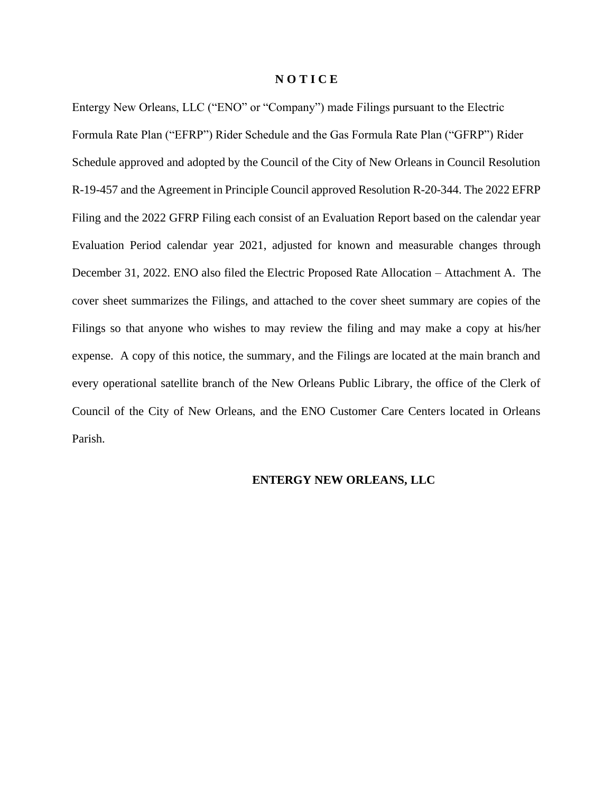### **N O T I C E**

Entergy New Orleans, LLC ("ENO" or "Company") made Filings pursuant to the Electric Formula Rate Plan ("EFRP") Rider Schedule and the Gas Formula Rate Plan ("GFRP") Rider Schedule approved and adopted by the Council of the City of New Orleans in Council Resolution R-19-457 and the Agreement in Principle Council approved Resolution R-20-344. The 2022 EFRP Filing and the 2022 GFRP Filing each consist of an Evaluation Report based on the calendar year Evaluation Period calendar year 2021, adjusted for known and measurable changes through December 31, 2022. ENO also filed the Electric Proposed Rate Allocation – Attachment A. The cover sheet summarizes the Filings, and attached to the cover sheet summary are copies of the Filings so that anyone who wishes to may review the filing and may make a copy at his/her expense. A copy of this notice, the summary, and the Filings are located at the main branch and every operational satellite branch of the New Orleans Public Library, the office of the Clerk of Council of the City of New Orleans, and the ENO Customer Care Centers located in Orleans Parish.

## **ENTERGY NEW ORLEANS, LLC**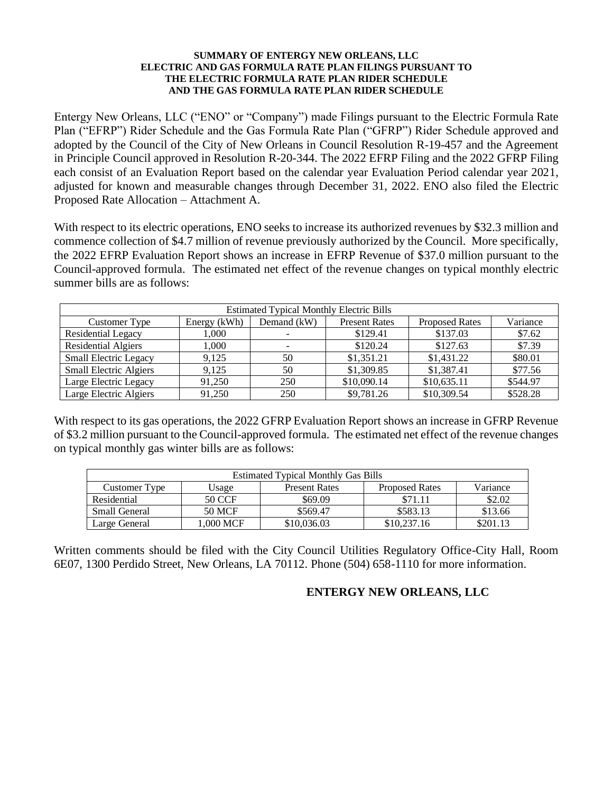### **SUMMARY OF ENTERGY NEW ORLEANS, LLC ELECTRIC AND GAS FORMULA RATE PLAN FILINGS PURSUANT TO THE ELECTRIC FORMULA RATE PLAN RIDER SCHEDULE AND THE GAS FORMULA RATE PLAN RIDER SCHEDULE**

Entergy New Orleans, LLC ("ENO" or "Company") made Filings pursuant to the Electric Formula Rate Plan ("EFRP") Rider Schedule and the Gas Formula Rate Plan ("GFRP") Rider Schedule approved and adopted by the Council of the City of New Orleans in Council Resolution R-19-457 and the Agreement in Principle Council approved in Resolution R-20-344. The 2022 EFRP Filing and the 2022 GFRP Filing each consist of an Evaluation Report based on the calendar year Evaluation Period calendar year 2021, adjusted for known and measurable changes through December 31, 2022. ENO also filed the Electric Proposed Rate Allocation – Attachment A.

With respect to its electric operations, ENO seeks to increase its authorized revenues by \$32.3 million and commence collection of \$4.7 million of revenue previously authorized by the Council. More specifically, the 2022 EFRP Evaluation Report shows an increase in EFRP Revenue of \$37.0 million pursuant to the Council-approved formula. The estimated net effect of the revenue changes on typical monthly electric summer bills are as follows:

| <b>Estimated Typical Monthly Electric Bills</b> |              |               |                      |                       |          |
|-------------------------------------------------|--------------|---------------|----------------------|-----------------------|----------|
| Customer Type                                   | Energy (kWh) | Demand $(kW)$ | <b>Present Rates</b> | <b>Proposed Rates</b> | Variance |
| Residential Legacy                              | 1.000        |               | \$129.41             | \$137.03              | \$7.62   |
| <b>Residential Algiers</b>                      | 1.000        | $\sim$        | \$120.24             | \$127.63              | \$7.39   |
| <b>Small Electric Legacy</b>                    | 9.125        | 50            | \$1,351.21           | \$1,431.22            | \$80.01  |
| <b>Small Electric Algiers</b>                   | 9.125        | 50            | \$1,309.85           | \$1,387.41            | \$77.56  |
| Large Electric Legacy                           | 91,250       | 250           | \$10,090.14          | \$10,635.11           | \$544.97 |
| Large Electric Algiers                          | 91,250       | 250           | \$9,781.26           | \$10,309.54           | \$528.28 |

With respect to its gas operations, the 2022 GFRP Evaluation Report shows an increase in GFRP Revenue of \$3.2 million pursuant to the Council-approved formula. The estimated net effect of the revenue changes on typical monthly gas winter bills are as follows:

| <b>Estimated Typical Monthly Gas Bills</b> |           |                      |                       |          |  |
|--------------------------------------------|-----------|----------------------|-----------------------|----------|--|
| Customer Type                              | Usage     | <b>Present Rates</b> | <b>Proposed Rates</b> | Variance |  |
| Residential                                | 50 CCF    | \$69.09              | \$71.11               | \$2.02   |  |
| Small General                              | 50 MCF    | \$569.47             | \$583.13              | \$13.66  |  |
| Large General                              | 1.000 MCF | \$10,036.03          | \$10,237.16           | \$201.13 |  |

Written comments should be filed with the City Council Utilities Regulatory Office-City Hall, Room 6E07, 1300 Perdido Street, New Orleans, LA 70112. Phone (504) 658-1110 for more information.

# **ENTERGY NEW ORLEANS, LLC**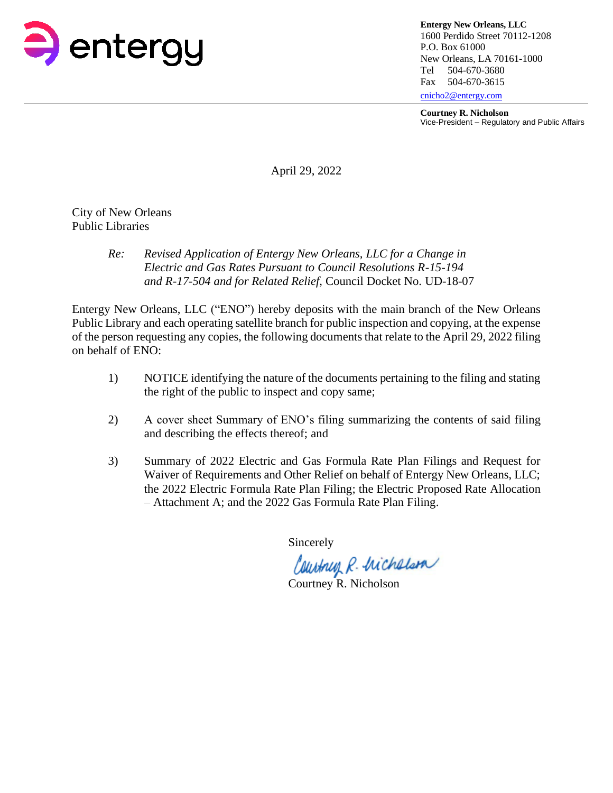

**Entergy New Orleans, LLC** 1600 Perdido Street 70112-1208 P.O. Box 61000 New Orleans, LA 70161-1000 Tel 504-670-3680 Fax 504-670-3615 [cnicho2@entergy.com](mailto:cnicho2@entergy.com)

**Courtney R. Nicholson**

Vice-President – Regulatory and Public Affairs

April 29, 2022

City of New Orleans Public Libraries

## *Re: Revised Application of Entergy New Orleans, LLC for a Change in Electric and Gas Rates Pursuant to Council Resolutions R-15-194 and R-17-504 and for Related Relief,* Council Docket No. UD-18-07

Entergy New Orleans, LLC ("ENO") hereby deposits with the main branch of the New Orleans Public Library and each operating satellite branch for public inspection and copying, at the expense of the person requesting any copies, the following documents that relate to the April 29, 2022 filing on behalf of ENO:

- 1) NOTICE identifying the nature of the documents pertaining to the filing and stating the right of the public to inspect and copy same;
- 2) A cover sheet Summary of ENO's filing summarizing the contents of said filing and describing the effects thereof; and
- 3) Summary of 2022 Electric and Gas Formula Rate Plan Filings and Request for Waiver of Requirements and Other Relief on behalf of Entergy New Orleans, LLC; the 2022 Electric Formula Rate Plan Filing; the Electric Proposed Rate Allocation – Attachment A; and the 2022 Gas Formula Rate Plan Filing.

Sincerely

Country R. Michelson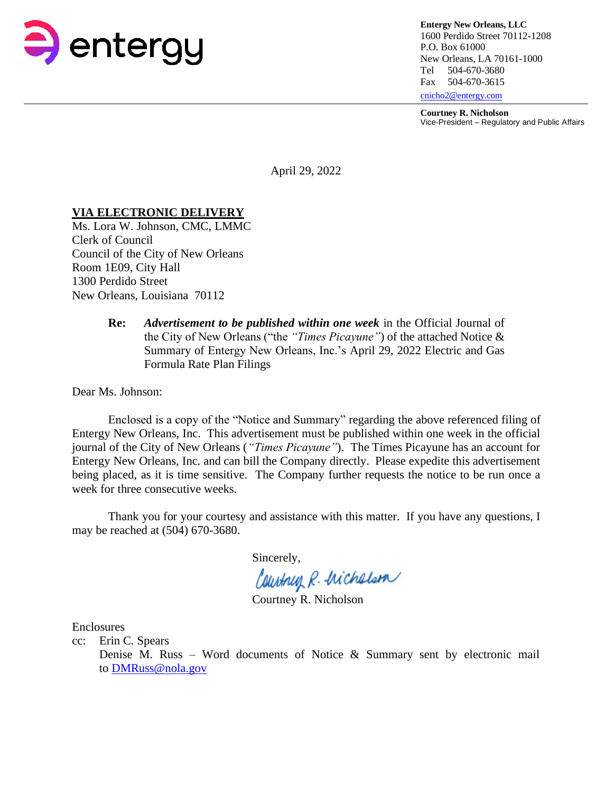

**Entergy New Orleans, LLC** 1600 Perdido Street 70112-1208 P.O. Box 61000 New Orleans, LA 70161-1000 Tel 504-670-3680 Fax 504-670-3615 [cnicho2@entergy.com](mailto:cnicho2@entergy.com)

**Courtney R. Nicholson**

Vice-President – Regulatory and Public Affairs

April 29, 2022

## **VIA ELECTRONIC DELIVERY**

Ms. Lora W. Johnson, CMC, LMMC Clerk of Council Council of the City of New Orleans Room 1E09, City Hall 1300 Perdido Street New Orleans, Louisiana 70112

> **Re:** *Advertisement to be published within one week* in the Official Journal of the City of New Orleans ("the *"Times Picayune"*) of the attached Notice & Summary of Entergy New Orleans, Inc.'s April 29, 2022 Electric and Gas Formula Rate Plan Filings

Dear Ms. Johnson:

Enclosed is a copy of the "Notice and Summary" regarding the above referenced filing of Entergy New Orleans, Inc. This advertisement must be published within one week in the official journal of the City of New Orleans (*"Times Picayune"*). The Times Picayune has an account for Entergy New Orleans, Inc. and can bill the Company directly. Please expedite this advertisement being placed, as it is time sensitive. The Company further requests the notice to be run once a week for three consecutive weeks.

Thank you for your courtesy and assistance with this matter. If you have any questions, I may be reached at (504) 670-3680.

Sincerely,

Courtney R. Michelson

Enclosures

cc: Erin C. Spears

Denise M. Russ – Word documents of Notice & Summary sent by electronic mail to [DMRuss@nola.gov](mailto:DMRuss@nola.gov)